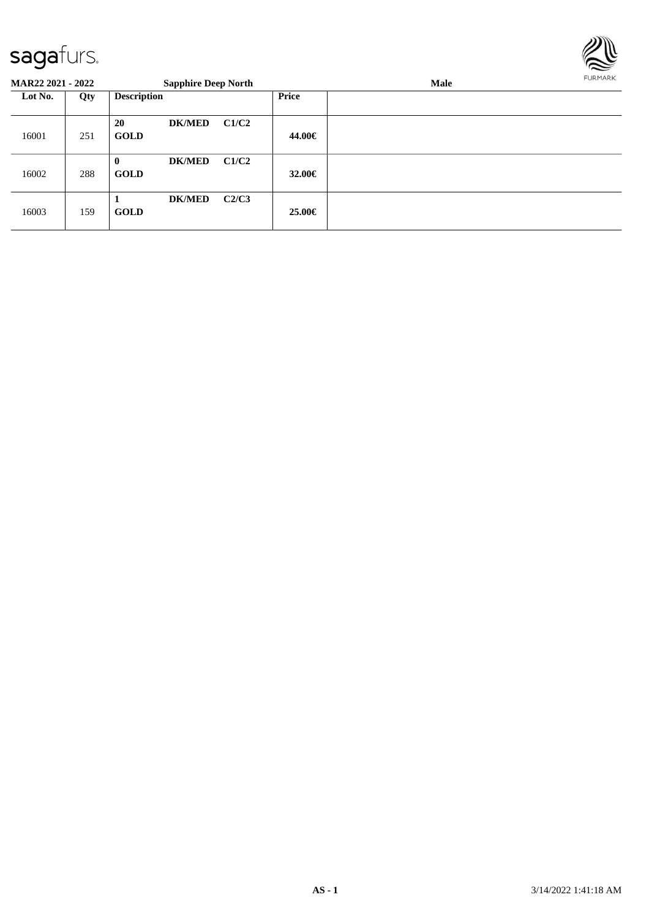

#### **MAR22 2021 - 2022 Sapphire Deep North Male Lot No. Qty Description Price** 16001 251 **20 DK/MED C1/C2 GOLD 44.00€** 16002 288 **0 DK/MED C1/C2 GOLD 32.00€** 16003 159 **1 DK/MED C2/C3 GOLD 25.00€**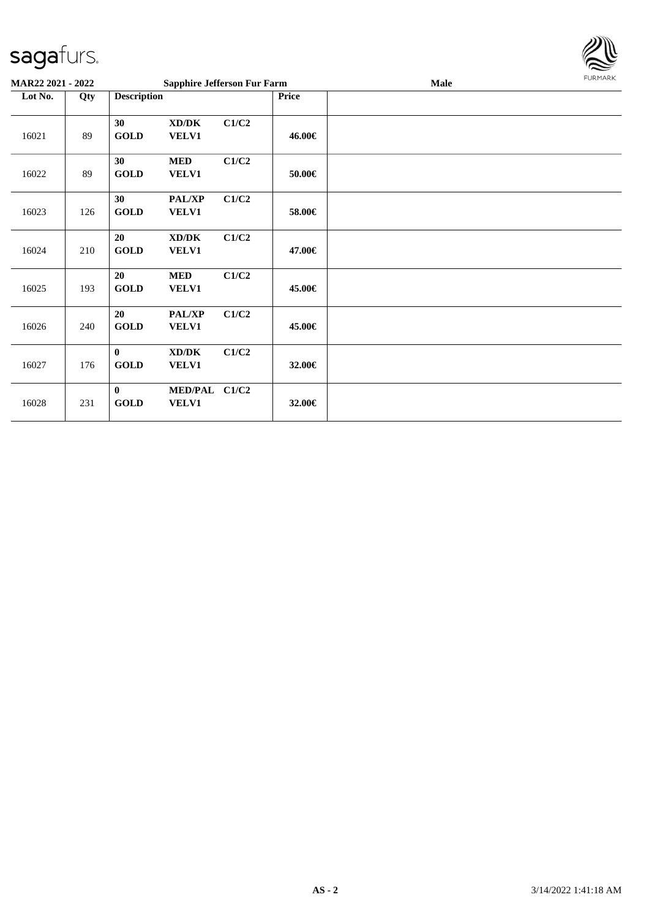

| <b>MAR22 2021 - 2022</b> |     |                             | <b>Sapphire Jefferson Fur Farm</b> |       |        | <b>Male</b> | FURMARK |
|--------------------------|-----|-----------------------------|------------------------------------|-------|--------|-------------|---------|
| Lot No.                  | Qty | <b>Description</b>          |                                    |       | Price  |             |         |
| 16021                    | 89  | 30<br><b>GOLD</b>           | XD/DK<br>VELV1                     | C1/C2 | 46.00€ |             |         |
| 16022                    | 89  | 30<br><b>GOLD</b>           | <b>MED</b><br>VELV1                | C1/C2 | 50.00€ |             |         |
| 16023                    | 126 | 30<br><b>GOLD</b>           | PAL/XP<br>VELV1                    | C1/C2 | 58.00€ |             |         |
| 16024                    | 210 | 20<br><b>GOLD</b>           | XD/DK<br><b>VELV1</b>              | C1/C2 | 47.00€ |             |         |
| 16025                    | 193 | <b>20</b><br><b>GOLD</b>    | <b>MED</b><br>VELV1                | C1/C2 | 45.00€ |             |         |
| 16026                    | 240 | 20<br><b>GOLD</b>           | PAL/XP<br>VELV1                    | C1/C2 | 45.00€ |             |         |
| 16027                    | 176 | $\mathbf{0}$<br><b>GOLD</b> | XD/DK<br>VELV1                     | C1/C2 | 32.00€ |             |         |
| 16028                    | 231 | $\bf{0}$<br><b>GOLD</b>     | MED/PAL C1/C2<br>VELV1             |       | 32.00€ |             |         |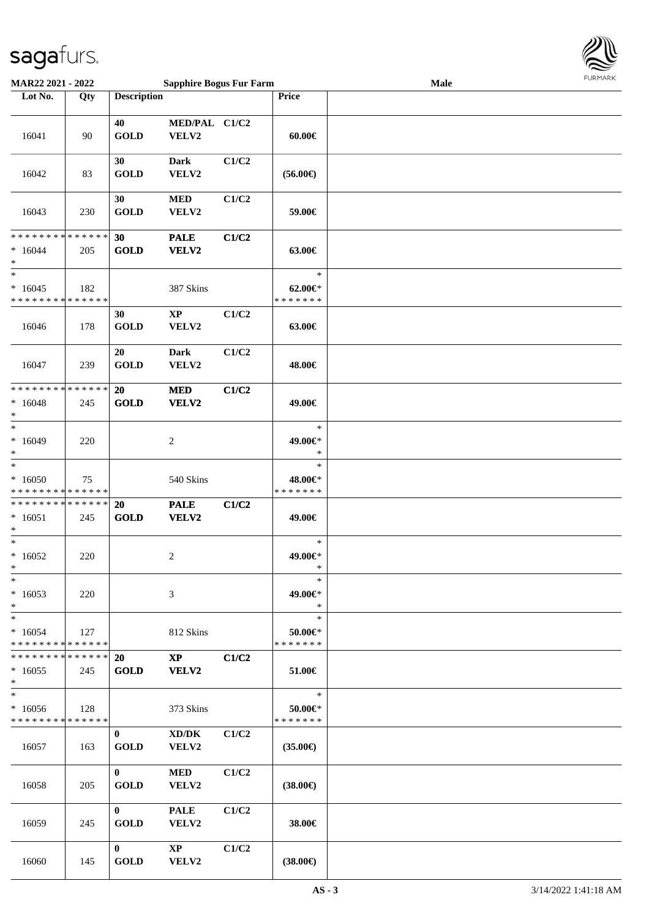

| <b>MAR22 2021 - 2022</b>                                                   |                    |                             | <b>Sapphire Bogus Fur Farm</b>  |       |                                        | Male | <b>FURITARK</b> |
|----------------------------------------------------------------------------|--------------------|-----------------------------|---------------------------------|-------|----------------------------------------|------|-----------------|
| Lot No.                                                                    | Qty                | <b>Description</b>          |                                 |       | Price                                  |      |                 |
| 16041                                                                      | 90                 | 40<br><b>GOLD</b>           | MED/PAL C1/C2<br>VELV2          |       | $60.00 \in$                            |      |                 |
| 16042                                                                      | 83                 | 30<br><b>GOLD</b>           | <b>Dark</b><br>VELV2            | C1/C2 | $(56.00\epsilon)$                      |      |                 |
| 16043                                                                      | 230                | 30<br><b>GOLD</b>           | <b>MED</b><br>VELV2             | C1/C2 | 59.00€                                 |      |                 |
| * * * * * * * * <mark>* * * * * * *</mark><br>$*16044$<br>$\ast$<br>$_{*}$ | 205                | 30<br><b>GOLD</b>           | <b>PALE</b><br><b>VELV2</b>     | C1/C2 | 63.00€<br>$\ast$                       |      |                 |
| $*16045$<br>* * * * * * * * * * * * * *                                    | 182                |                             | 387 Skins                       |       | $62.00 \in$<br>* * * * * * *           |      |                 |
| 16046                                                                      | 178                | 30<br><b>GOLD</b>           | $\mathbf{X}\mathbf{P}$<br>VELV2 | C1/C2 | 63.00€                                 |      |                 |
| 16047                                                                      | 239                | 20<br><b>GOLD</b>           | <b>Dark</b><br>VELV2            | C1/C2 | 48.00€                                 |      |                 |
| * * * * * * * *<br>$* 16048$<br>*                                          | * * * * * *<br>245 | 20<br><b>GOLD</b>           | $\bf MED$<br><b>VELV2</b>       | C1/C2 | 49.00€                                 |      |                 |
| $*$<br>$*16049$<br>$\ast$                                                  | 220                |                             | 2                               |       | $\ast$<br>49.00€*<br>$\ast$            |      |                 |
| $\ast$<br>$*16050$<br>* * * * * * * * <mark>* * * * * *</mark>             | 75                 |                             | 540 Skins                       |       | $\ast$<br>48.00€*<br>* * * * * * *     |      |                 |
| * * * * * * * * * * * * * * *<br>$*16051$<br>$\ast$                        | 245                | 20<br><b>GOLD</b>           | <b>PALE</b><br><b>VELV2</b>     | C1/C2 | 49.00€                                 |      |                 |
| $\ast$<br>$*16052$<br>$*$                                                  | 220                |                             | 2                               |       | $\ast$<br>49.00€*                      |      |                 |
| $*$<br>$*16053$<br>$*$                                                     | 220                |                             | 3                               |       | $\ast$<br>49.00€*<br>$\ast$            |      |                 |
| $*$<br>$*16054$<br>* * * * * * * * <mark>* * * * * * *</mark>              | 127                |                             | 812 Skins                       |       | $\ast$<br>$50.00 \in$<br>* * * * * * * |      |                 |
| * * * * * * * *<br>$*16055$<br>$*$                                         | * * * * * *<br>245 | 20<br><b>GOLD</b>           | $\mathbf{XP}$<br><b>VELV2</b>   | C1/C2 | 51.00€                                 |      |                 |
| $*$<br>$*16056$<br>* * * * * * * *                                         | 128<br>* * * * * * |                             | 373 Skins                       |       | $\ast$<br>50.00€*<br>* * * * * * *     |      |                 |
| 16057                                                                      | 163                | $\mathbf{0}$<br><b>GOLD</b> | XD/DK<br><b>VELV2</b>           | C1/C2 | $(35.00\epsilon)$                      |      |                 |
| 16058                                                                      | 205                | $\mathbf{0}$<br><b>GOLD</b> | <b>MED</b><br>VELV2             | C1/C2 | $(38.00\epsilon)$                      |      |                 |
| 16059                                                                      | 245                | $\mathbf{0}$<br><b>GOLD</b> | <b>PALE</b><br>VELV2            | C1/C2 | 38.00€                                 |      |                 |
| 16060                                                                      | 145                | $\mathbf{0}$<br><b>GOLD</b> | $\mathbf{X}\mathbf{P}$<br>VELV2 | C1/C2 | $(38.00\epsilon)$                      |      |                 |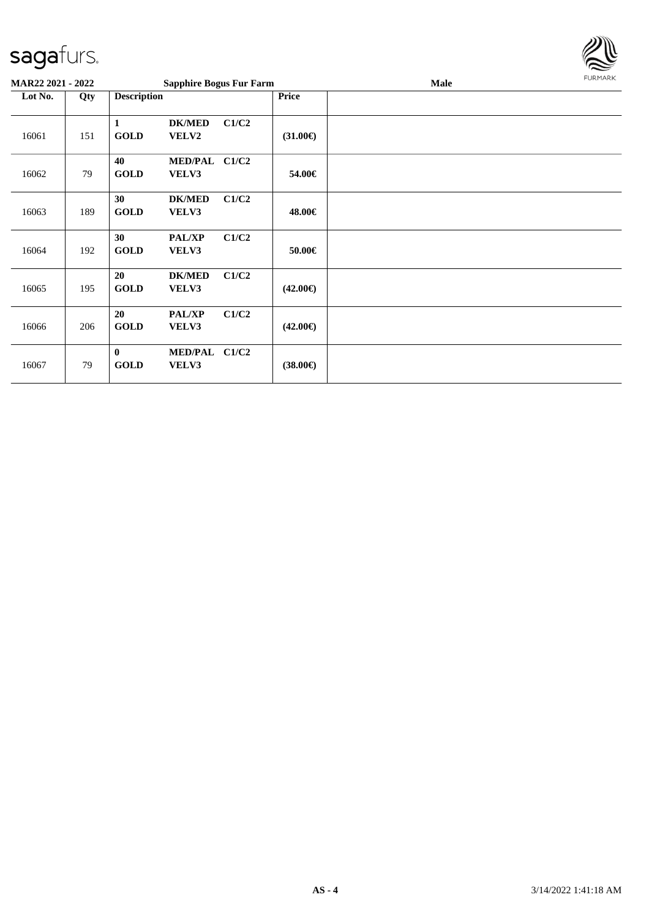

| <b>MAR22 2021 - 2022</b> |     |                         | <b>Sapphire Bogus Fur Farm</b> |       |                   | Male | <b>FURMARK</b> |
|--------------------------|-----|-------------------------|--------------------------------|-------|-------------------|------|----------------|
| Lot No.                  | Qty | <b>Description</b>      |                                |       | <b>Price</b>      |      |                |
| 16061                    | 151 | 1<br><b>GOLD</b>        | <b>DK/MED</b><br><b>VELV2</b>  | C1/C2 | $(31.00\epsilon)$ |      |                |
| 16062                    | 79  | 40<br><b>GOLD</b>       | MED/PAL C1/C2<br>VELV3         |       | 54.00€            |      |                |
| 16063                    | 189 | 30<br><b>GOLD</b>       | <b>DK/MED</b><br>VELV3         | C1/C2 | 48.00€            |      |                |
| 16064                    | 192 | 30<br><b>GOLD</b>       | <b>PAL/XP</b><br>VELV3         | C1/C2 | 50.00€            |      |                |
| 16065                    | 195 | 20<br><b>GOLD</b>       | <b>DK/MED</b><br>VELV3         | C1/C2 | $(42.00\epsilon)$ |      |                |
| 16066                    | 206 | 20<br><b>GOLD</b>       | <b>PAL/XP</b><br>VELV3         | C1/C2 | $(42.00\epsilon)$ |      |                |
| 16067                    | 79  | $\bf{0}$<br><b>GOLD</b> | MED/PAL C1/C2<br>VELV3         |       | $(38.00\epsilon)$ |      |                |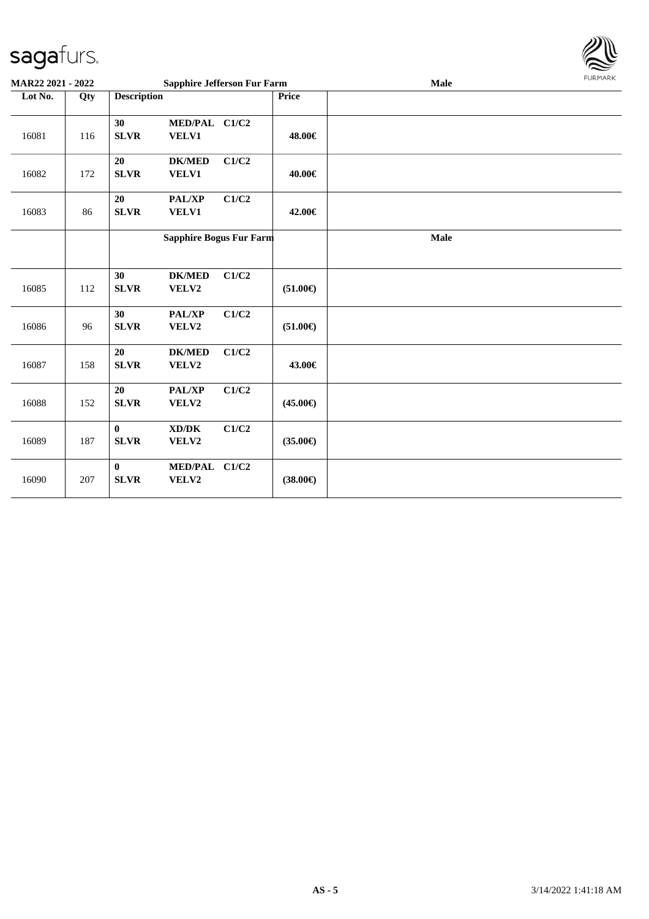

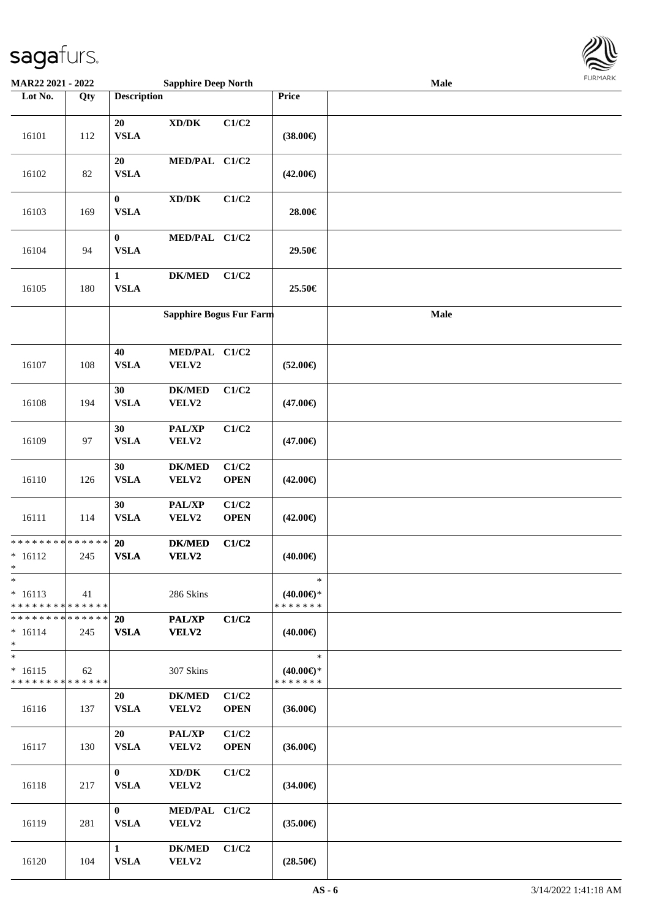

| <b>MAR22 2021 - 2022</b>                             |                    |                                 | <b>Sapphire Deep North</b>                   |                      |                                                | Male |  |
|------------------------------------------------------|--------------------|---------------------------------|----------------------------------------------|----------------------|------------------------------------------------|------|--|
| Lot No.                                              | Qty                | <b>Description</b>              |                                              |                      | Price                                          |      |  |
| 16101                                                | 112                | 20<br><b>VSLA</b>               | $\bold{X}\bold{D}/\bold{D}\bold{K}$          | C1/C2                | $(38.00\epsilon)$                              |      |  |
| 16102                                                | 82                 | 20<br><b>VSLA</b>               | MED/PAL C1/C2                                |                      | $(42.00\epsilon)$                              |      |  |
| 16103                                                | 169                | $\boldsymbol{0}$<br><b>VSLA</b> | $\bold{X}\bold{D}/\bold{D}\bold{K}$          | C1/C2                | 28.00€                                         |      |  |
| 16104                                                | 94                 | $\bf{0}$<br><b>VSLA</b>         | MED/PAL C1/C2                                |                      | 29.50€                                         |      |  |
| 16105                                                | 180                | $\mathbf 1$<br><b>VSLA</b>      | <b>DK/MED</b>                                | C1/C2                | 25.50€                                         |      |  |
|                                                      |                    |                                 | <b>Sapphire Bogus Fur Farm</b>               |                      |                                                | Male |  |
| 16107                                                | 108                | 40<br><b>VSLA</b>               | MED/PAL C1/C2<br>VELV2                       |                      | $(52.00\epsilon)$                              |      |  |
| 16108                                                | 194                | 30<br><b>VSLA</b>               | <b>DK/MED</b><br>VELV2                       | C1/C2                | $(47.00\epsilon)$                              |      |  |
| 16109                                                | 97                 | 30<br><b>VSLA</b>               | PAL/XP<br>VELV2                              | C1/C2                | $(47.00\epsilon)$                              |      |  |
| 16110                                                | 126                | 30<br><b>VSLA</b>               | <b>DK/MED</b><br>VELV2                       | C1/C2<br><b>OPEN</b> | $(42.00\epsilon)$                              |      |  |
| 16111                                                | 114                | 30<br><b>VSLA</b>               | PAL/XP<br>VELV2                              | C1/C2<br><b>OPEN</b> | $(42.00\epsilon)$                              |      |  |
| * * * * * * * *<br>$* 16112$<br>$\ast$               | * * * * * *<br>245 | 20<br><b>VSLA</b>               | <b>DK/MED</b><br>VELV2                       | C1/C2                | $(40.00\epsilon)$                              |      |  |
| $\ast$<br>$* 16113$<br>* * * * * * * * * * * * * *   | 41                 |                                 | 286 Skins                                    |                      | $\ast$<br>$(40.00\epsilon)$ *<br>* * * * * * * |      |  |
| * * * * * * * * * * * * * * *<br>$* 16114$<br>$\ast$ | 245                | 20<br><b>VSLA</b>               | PAL/XP<br><b>VELV2</b>                       | C1/C2                | $(40.00\epsilon)$                              |      |  |
| $*$<br>$* 16115$<br>* * * * * * * *                  | 62<br>* * * * * *  |                                 | 307 Skins                                    |                      | $\ast$<br>$(40.00\epsilon)$ *<br>* * * * * * * |      |  |
| 16116                                                | 137                | 20<br><b>VSLA</b>               | <b>DK/MED</b><br>VELV2                       | C1/C2<br><b>OPEN</b> | $(36.00\epsilon)$                              |      |  |
| 16117                                                | 130                | 20<br><b>VSLA</b>               | PAL/XP<br>VELV2                              | C1/C2<br><b>OPEN</b> | $(36.00\epsilon)$                              |      |  |
| 16118                                                | 217                | $\bf{0}$<br><b>VSLA</b>         | $\bold{X}\bold{D}/\bold{D}\bold{K}$<br>VELV2 | C1/C2                | $(34.00\epsilon)$                              |      |  |
| 16119                                                | 281                | $\mathbf{0}$<br><b>VSLA</b>     | MED/PAL C1/C2<br>VELV2                       |                      | $(35.00\epsilon)$                              |      |  |
| 16120                                                | 104                | $\mathbf{1}$<br><b>VSLA</b>     | <b>DK/MED</b><br>VELV2                       | C1/C2                | $(28.50\epsilon)$                              |      |  |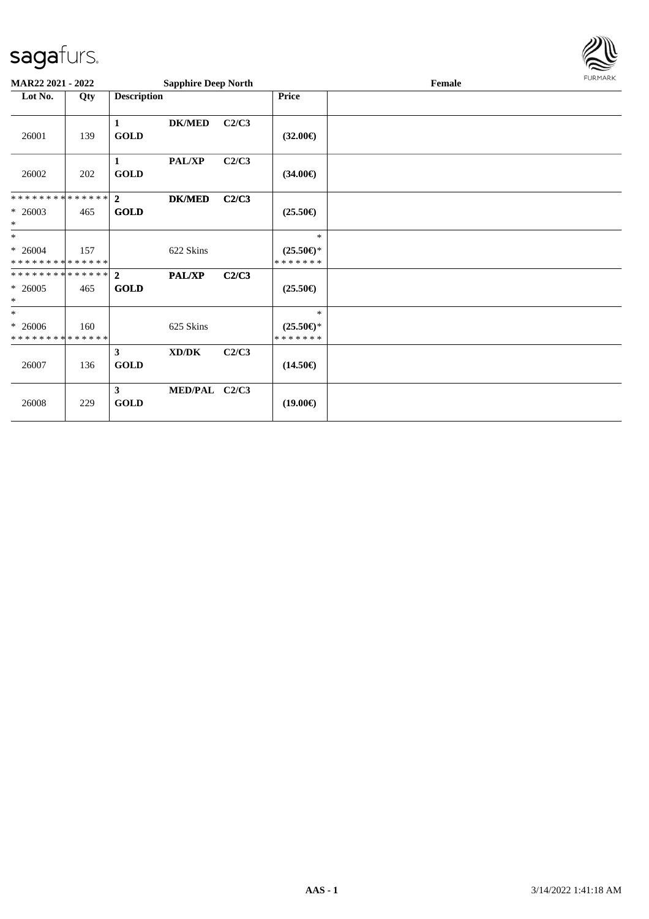

| <b>MAR22 2021 - 2022</b>                 |     |                             | <b>Sapphire Deep North</b> |       |                                      | FURMARK |  |
|------------------------------------------|-----|-----------------------------|----------------------------|-------|--------------------------------------|---------|--|
| Lot No.                                  | Qty | <b>Description</b>          |                            |       | <b>Price</b>                         | Female  |  |
| 26001                                    | 139 | 1<br><b>GOLD</b>            | <b>DK/MED</b>              | C2/C3 | $(32.00\epsilon)$                    |         |  |
| 26002                                    | 202 | 1<br><b>GOLD</b>            | PAL/XP                     | C2/C3 | $(34.00\epsilon)$                    |         |  |
| * * * * * * * * * * * * * * *            |     | $\overline{2}$              | <b>DK/MED</b>              | C2/C3 |                                      |         |  |
| $* 26003$<br>$\ast$                      | 465 | <b>GOLD</b>                 |                            |       | $(25.50\epsilon)$                    |         |  |
| $*$                                      |     |                             |                            |       | $\ast$                               |         |  |
| $* 26004$<br>* * * * * * * * * * * * * * | 157 |                             | 622 Skins                  |       | $(25.50\epsilon)$ *<br>*******       |         |  |
| * * * * * * * * * * * * * * *            |     | $\overline{2}$              | PAL/XP                     | C2/C3 |                                      |         |  |
| $* 26005$<br>$\ast$                      | 465 | <b>GOLD</b>                 |                            |       | $(25.50\epsilon)$                    |         |  |
| $\ast$                                   |     |                             |                            |       | $\ast$                               |         |  |
| $* 26006$<br>* * * * * * * * * * * * * * | 160 |                             | 625 Skins                  |       | $(25.50\epsilon)$ *<br>* * * * * * * |         |  |
| 26007                                    | 136 | $\mathbf{3}$<br><b>GOLD</b> | XD/DK                      | C2/C3 | $(14.50\epsilon)$                    |         |  |
| 26008                                    | 229 | $\mathbf{3}$<br><b>GOLD</b> | MED/PAL C2/C3              |       | $(19.00\epsilon)$                    |         |  |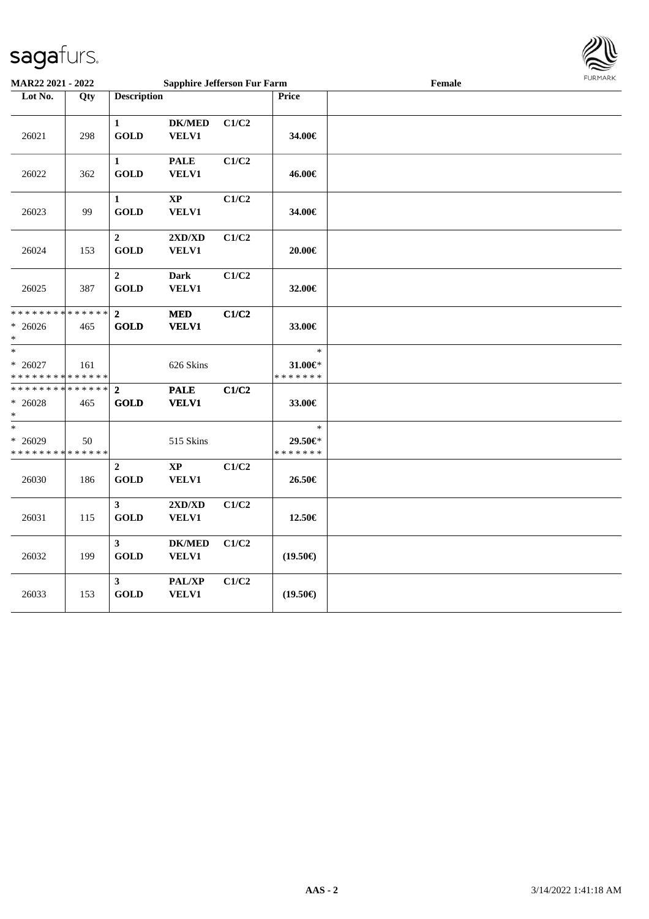

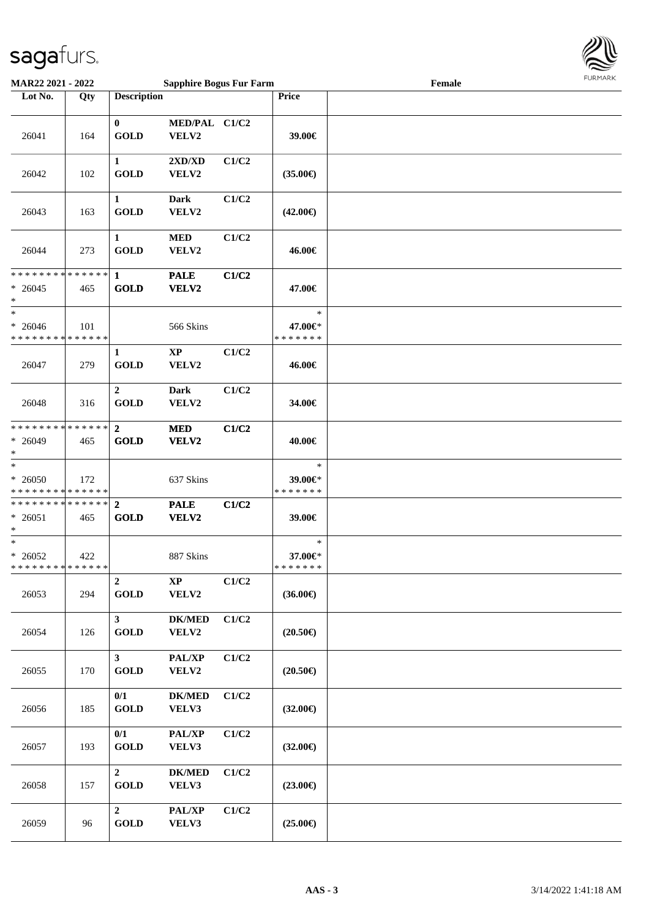

| MAR22 2021 - 2022                                                 |     |                               | <b>Sapphire Bogus Fur Farm</b>            |       |                                    | Female |  |
|-------------------------------------------------------------------|-----|-------------------------------|-------------------------------------------|-------|------------------------------------|--------|--|
| Lot No.                                                           | Qty | <b>Description</b>            |                                           |       | Price                              |        |  |
| 26041                                                             | 164 | $\bf{0}$<br><b>GOLD</b>       | MED/PAL C1/C2<br>VELV2                    |       | 39.00€                             |        |  |
| 26042                                                             | 102 | 1<br><b>GOLD</b>              | $2{\bf X}{\bf D}/{\bf X}{\bf D}$<br>VELV2 | C1/C2 | $(35.00\epsilon)$                  |        |  |
| 26043                                                             | 163 | $\mathbf{1}$<br><b>GOLD</b>   | Dark<br>VELV2                             | C1/C2 | $(42.00\epsilon)$                  |        |  |
| 26044                                                             | 273 | $\mathbf{1}$<br><b>GOLD</b>   | $\bf MED$<br>VELV2                        | C1/C2 | 46.00€                             |        |  |
| * * * * * * * * <mark>* * * * * *</mark><br>$* 26045$<br>*        | 465 | $\mathbf{1}$<br><b>GOLD</b>   | <b>PALE</b><br>VELV2                      | C1/C2 | 47.00€                             |        |  |
| $\ast$<br>$* 26046$<br>* * * * * * * * <mark>* * * * * *</mark>   | 101 |                               | 566 Skins                                 |       | $\ast$<br>47.00€*<br>* * * * * * * |        |  |
| 26047                                                             | 279 | $\mathbf{1}$<br><b>GOLD</b>   | $\bold{XP}$<br>VELV2                      | C1/C2 | 46.00€                             |        |  |
| 26048                                                             | 316 | $\overline{2}$<br><b>GOLD</b> | <b>Dark</b><br>VELV2                      | C1/C2 | 34.00€                             |        |  |
| * * * * * * * * <mark>* * * * * *</mark><br>$* 26049$<br>$\ast$   | 465 | $\overline{2}$<br><b>GOLD</b> | <b>MED</b><br><b>VELV2</b>                | C1/C2 | 40.00€                             |        |  |
| $\ast$<br>$* 26050$<br>* * * * * * * * <mark>* * * * * *</mark>   | 172 |                               | 637 Skins                                 |       | $\ast$<br>39.00€*<br>* * * * * * * |        |  |
| * * * * * * * * * * * * * * <mark>*</mark><br>$* 26051$<br>$\ast$ | 465 | $\overline{2}$<br><b>GOLD</b> | <b>PALE</b><br>VELV2                      | C1/C2 | 39.00€                             |        |  |
| $\ast$<br>$* 26052$<br>* * * * * * * * * * * * * * *              | 422 |                               | 887 Skins                                 |       | $\ast$<br>37.00€*<br>* * * * * * * |        |  |
| 26053                                                             | 294 | $\overline{2}$<br><b>GOLD</b> | $\mathbf{XP}$<br>VELV2                    | C1/C2 | $(36.00\epsilon)$                  |        |  |
| 26054                                                             | 126 | $3^{\circ}$<br>GOLD           | $DK/MED$<br>VELV2                         | C1/C2 | $(20.50\epsilon)$                  |        |  |
| 26055                                                             | 170 | $\mathbf{3}$<br><b>GOLD</b>   | PAL/XP<br>VELV2                           | C1/C2 | $(20.50\epsilon)$                  |        |  |
| 26056                                                             | 185 | 0/1<br><b>GOLD</b>            | <b>DK/MED</b><br>VELV3                    | C1/C2 | $(32.00\epsilon)$                  |        |  |
| 26057                                                             | 193 | 0/1<br><b>GOLD</b>            | PAL/XP<br>VELV3                           | C1/C2 | $(32.00\epsilon)$                  |        |  |
| 26058                                                             | 157 | $\overline{2}$<br><b>GOLD</b> | <b>DK/MED</b><br>VELV3                    | C1/C2 | $(23.00\epsilon)$                  |        |  |
| 26059                                                             | 96  | $\overline{2}$<br><b>GOLD</b> | PAL/XP<br>VELV3                           | C1/C2 | $(25.00\epsilon)$                  |        |  |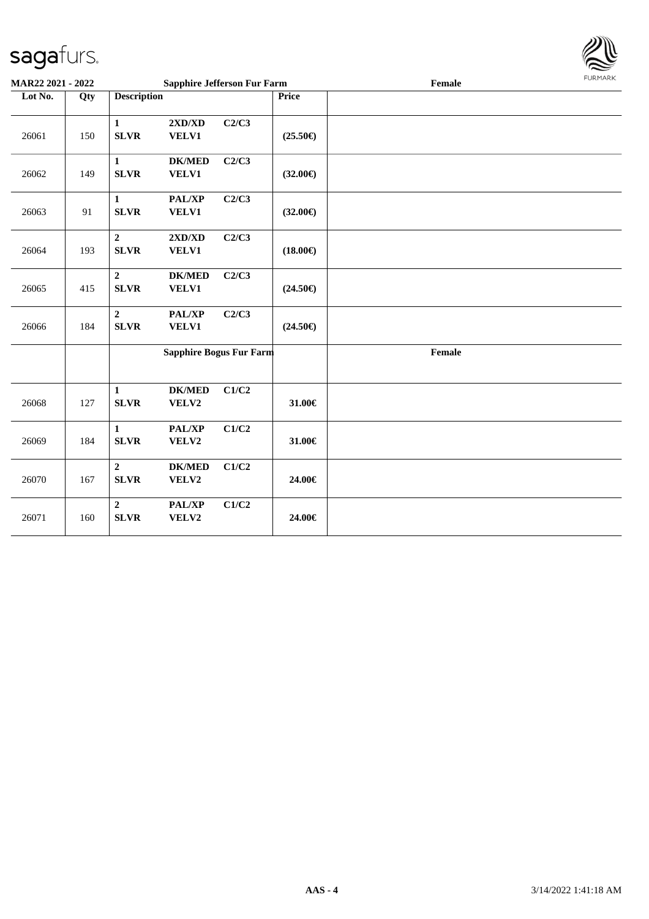26061 150

26062 149

26063 91

26064 193

26065 415



| 26066 | 184 | $\mathbf{2}$<br><b>SLVR</b>     | <b>PAL/XP</b><br><b>VELV1</b> | C2/C3                          | $(24.50\epsilon)$ |        |
|-------|-----|---------------------------------|-------------------------------|--------------------------------|-------------------|--------|
|       |     |                                 |                               | <b>Sapphire Bogus Fur Farm</b> |                   | Female |
| 26068 | 127 | 1<br><b>SLVR</b>                | <b>DK/MED</b><br><b>VELV2</b> | C1/C2                          | 31.00€            |        |
| 26069 | 184 | 1<br><b>SLVR</b>                | <b>PAL/XP</b><br><b>VELV2</b> | C1/C2                          | 31.00€            |        |
| 26070 | 167 | $\boldsymbol{2}$<br><b>SLVR</b> | <b>DK/MED</b><br><b>VELV2</b> | C1/C2                          | 24.00€            |        |
| 26071 | 160 | $\mathbf{2}$<br><b>SLVR</b>     | <b>PAL/XP</b><br><b>VELV2</b> | C1/C2                          | 24.00€            |        |
|       |     |                                 |                               |                                |                   |        |